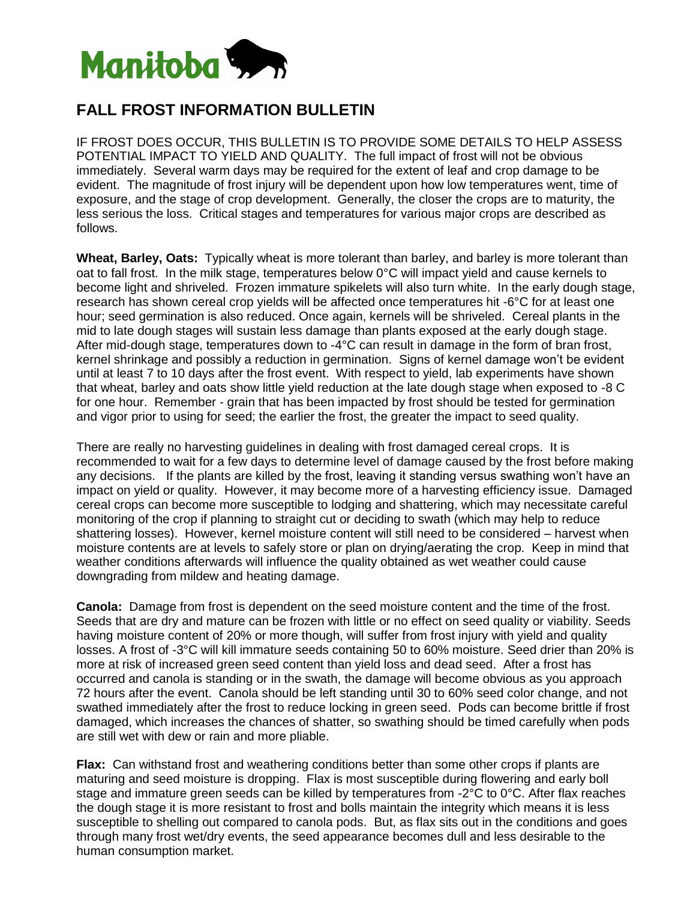

## **FALL FROST INFORMATION BULLETIN**

IF FROST DOES OCCUR, THIS BULLETIN IS TO PROVIDE SOME DETAILS TO HELP ASSESS POTENTIAL IMPACT TO YIELD AND QUALITY. The full impact of frost will not be obvious immediately. Several warm days may be required for the extent of leaf and crop damage to be evident. The magnitude of frost injury will be dependent upon how low temperatures went, time of exposure, and the stage of crop development. Generally, the closer the crops are to maturity, the less serious the loss. Critical stages and temperatures for various major crops are described as follows.

**Wheat, Barley, Oats:** Typically wheat is more tolerant than barley, and barley is more tolerant than oat to fall frost. In the milk stage, temperatures below 0°C will impact yield and cause kernels to become light and shriveled. Frozen immature spikelets will also turn white. In the early dough stage, research has shown cereal crop yields will be affected once temperatures hit -6°C for at least one hour; seed germination is also reduced. Once again, kernels will be shriveled. Cereal plants in the mid to late dough stages will sustain less damage than plants exposed at the early dough stage. After mid-dough stage, temperatures down to -4°C can result in damage in the form of bran frost, kernel shrinkage and possibly a reduction in germination. Signs of kernel damage won't be evident until at least 7 to 10 days after the frost event. With respect to yield, lab experiments have shown that wheat, barley and oats show little yield reduction at the late dough stage when exposed to -8 C for one hour. Remember - grain that has been impacted by frost should be tested for germination and vigor prior to using for seed; the earlier the frost, the greater the impact to seed quality.

There are really no harvesting guidelines in dealing with frost damaged cereal crops. It is recommended to wait for a few days to determine level of damage caused by the frost before making any decisions. If the plants are killed by the frost, leaving it standing versus swathing won't have an impact on yield or quality. However, it may become more of a harvesting efficiency issue. Damaged cereal crops can become more susceptible to lodging and shattering, which may necessitate careful monitoring of the crop if planning to straight cut or deciding to swath (which may help to reduce shattering losses). However, kernel moisture content will still need to be considered – harvest when moisture contents are at levels to safely store or plan on drying/aerating the crop. Keep in mind that weather conditions afterwards will influence the quality obtained as wet weather could cause downgrading from mildew and heating damage.

**Canola:** Damage from frost is dependent on the seed moisture content and the time of the frost. Seeds that are dry and mature can be frozen with little or no effect on seed quality or viability. Seeds having moisture content of 20% or more though, will suffer from frost injury with yield and quality losses. A frost of -3°C will kill immature seeds containing 50 to 60% moisture. Seed drier than 20% is more at risk of increased green seed content than yield loss and dead seed. After a frost has occurred and canola is standing or in the swath, the damage will become obvious as you approach 72 hours after the event. Canola should be left standing until 30 to 60% seed color change, and not swathed immediately after the frost to reduce locking in green seed. Pods can become brittle if frost damaged, which increases the chances of shatter, so swathing should be timed carefully when pods are still wet with dew or rain and more pliable.

**Flax:** Can withstand frost and weathering conditions better than some other crops if plants are maturing and seed moisture is dropping. Flax is most susceptible during flowering and early boll stage and immature green seeds can be killed by temperatures from -2°C to 0°C. After flax reaches the dough stage it is more resistant to frost and bolls maintain the integrity which means it is less susceptible to shelling out compared to canola pods. But, as flax sits out in the conditions and goes through many frost wet/dry events, the seed appearance becomes dull and less desirable to the human consumption market.